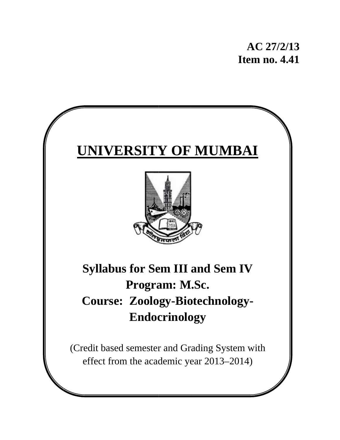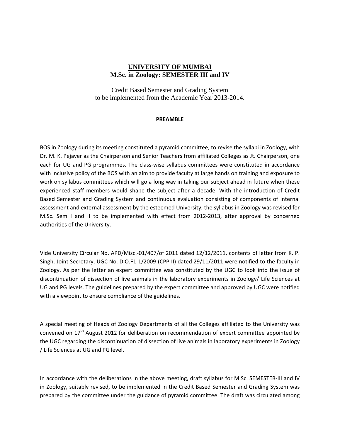#### **UNIVERSITY OF MUMBAI M.Sc. in Zoology: SEMESTER III and IV**

Credit Based Semester and Grading System to be implemented from the Academic Year 2013-2014.

#### **PREAMBLE**

BOS in Zoology during its meeting constituted a pyramid committee, to revise the syllabi in Zoology, with Dr. M. K. Pejaver as the Chairperson and Senior Teachers from affiliated Colleges as Jt. Chairperson, one each for UG and PG programmes. The class-wise syllabus committees were constituted in accordance with inclusive policy of the BOS with an aim to provide faculty at large hands on training and exposure to work on syllabus committees which will go a long way in taking our subject ahead in future when these experienced staff members would shape the subject after a decade. With the introduction of Credit Based Semester and Grading System and continuous evaluation consisting of components of internal assessment and external assessment by the esteemed University, the syllabus in Zoology was revised for M.Sc. Sem I and II to be implemented with effect from 2012‐2013, after approval by concerned authorities of the University.

Vide University Circular No. APD/Misc.‐01/407/of 2011 dated 12/12/2011, contents of letter from K. P. Singh, Joint Secretary, UGC No. D.O.F1‐1/2009‐(CPP‐II) dated 29/11/2011 were notified to the faculty in Zoology. As per the letter an expert committee was constituted by the UGC to look into the issue of discontinuation of dissection of live animals in the laboratory experiments in Zoology/ Life Sciences at UG and PG levels. The guidelines prepared by the expert committee and approved by UGC were notified with a viewpoint to ensure compliance of the guidelines.

A special meeting of Heads of Zoology Departments of all the Colleges affiliated to the University was convened on 17<sup>th</sup> August 2012 for deliberation on recommendation of expert committee appointed by the UGC regarding the discontinuation of dissection of live animals in laboratory experiments in Zoology / Life Sciences at UG and PG level.

In accordance with the deliberations in the above meeting, draft syllabus for M.Sc. SEMESTER‐III and IV in Zoology, suitably revised, to be implemented in the Credit Based Semester and Grading System was prepared by the committee under the guidance of pyramid committee. The draft was circulated among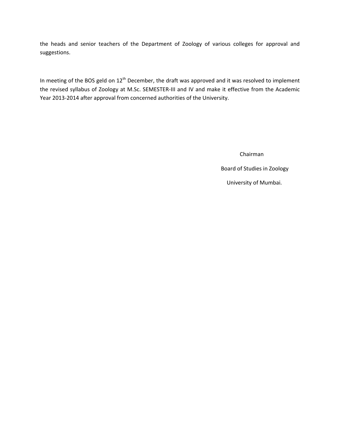the heads and senior teachers of the Department of Zoology of various colleges for approval and suggestions.

In meeting of the BOS geld on  $12<sup>th</sup>$  December, the draft was approved and it was resolved to implement the revised syllabus of Zoology at M.Sc. SEMESTER‐III and IV and make it effective from the Academic Year 2013‐2014 after approval from concerned authorities of the University.

> Chairman Board of Studies in Zoology University of Mumbai.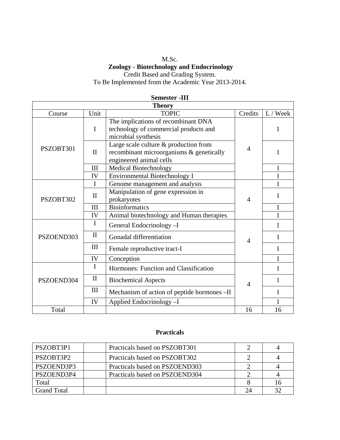## M.Sc.  **Zoology - Biotechnology and Endocrinology** Credit Based and Grading System.

To Be Implemented from the Academic Year 2013-2014.

| <b>Theory</b> |              |                                                                                                              |                |              |
|---------------|--------------|--------------------------------------------------------------------------------------------------------------|----------------|--------------|
| Course        | Unit         | <b>TOPIC</b>                                                                                                 | Credits        | L / Week     |
|               | $\mathbf I$  | The implications of recombinant DNA<br>technology of commercial products and<br>microbial synthesis          |                | 1            |
| PSZOBT301     | $\mathbf{I}$ | Large scale culture & production from<br>recombinant microorganisms & genetically<br>engineered animal cells | $\overline{4}$ |              |
|               | III          | <b>Medical Biotechnology</b>                                                                                 |                | $\mathbf{1}$ |
|               | IV           | <b>Environmental Biotechnology I</b>                                                                         |                | $\mathbf{1}$ |
|               | I            | Genome management and analysis                                                                               |                |              |
| PSZOBT302     | $\mathbf{I}$ | Manipulation of gene expression in<br>prokaryotes                                                            | $\overline{4}$ | 1            |
|               | III          | <b>Bioinformatics</b>                                                                                        |                | $\mathbf{1}$ |
|               | IV           | Animal biotechnology and Human therapies                                                                     |                | 1            |
|               | I            | General Endocrinology -I                                                                                     |                | 1            |
| PSZOEND303    | $\mathbf{I}$ | Gonadal differentiation                                                                                      | $\overline{4}$ | 1            |
|               | III          | Female reproductive tract-I                                                                                  |                | $\mathbf{1}$ |
|               | IV           | Conception                                                                                                   |                | 1            |
|               | I            | Hormones: Function and Classification                                                                        |                | 1            |
| PSZOEND304    | $\mathbf{I}$ | <b>Biochemical Aspects</b>                                                                                   | $\overline{4}$ | 1            |
|               | III          | Mechanism of action of peptide hormones -II                                                                  |                | 1            |
|               | IV           | Applied Endocrinology -I                                                                                     |                |              |
| Total         |              |                                                                                                              | 16             | 16           |

#### **Semester -III**

## **Practicals**

| PSZOBT3P1          | Practicals based on PSZOBT301  |    |
|--------------------|--------------------------------|----|
| PSZOBT3P2          | Practicals based on PSZOBT302  |    |
| PSZOEND3P3         | Practicals based on PSZOEND303 |    |
| PSZOEND3P4         | Practicals based on PSZOEND304 |    |
| Total              |                                | 16 |
| <b>Grand Total</b> |                                | 32 |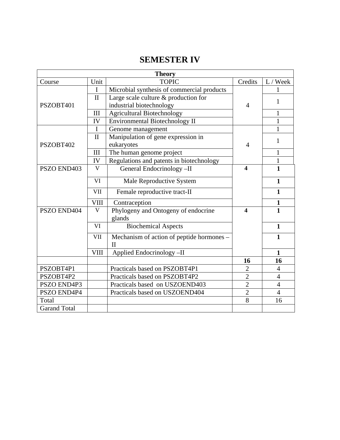# **SEMESTER IV**

| <b>Theory</b>                        |                         |                                                       |                         |                |
|--------------------------------------|-------------------------|-------------------------------------------------------|-------------------------|----------------|
| Course                               | Unit                    | <b>TOPIC</b>                                          | Credits                 | L / Week       |
|                                      | I                       | Microbial synthesis of commercial products            |                         |                |
|                                      | $\mathbf{I}$            | Large scale culture & production for                  |                         |                |
| PSZOBT401                            |                         | industrial biotechnology                              | $\overline{4}$          | 1              |
|                                      | III                     | <b>Agricultural Biotechnology</b>                     |                         | 1              |
| IV<br>Environmental Biotechnology II |                         |                                                       |                         | $\mathbf{1}$   |
|                                      | I                       | Genome management                                     |                         | $\mathbf{1}$   |
|                                      | $\mathbf{I}$            | Manipulation of gene expression in                    |                         | 1              |
| PSZOBT402                            |                         | eukaryotes                                            | $\overline{4}$          |                |
|                                      | III                     | The human genome project                              |                         | 1              |
|                                      | IV                      | Regulations and patents in biotechnology              |                         | $\mathbf{1}$   |
| PSZO END403                          | $\overline{\mathsf{V}}$ | General Endocrinology -II                             | $\boldsymbol{4}$        | $\mathbf{1}$   |
|                                      | VI                      | Male Reproductive System                              |                         | $\mathbf{1}$   |
|                                      | <b>VII</b>              | Female reproductive tract-II                          |                         | $\mathbf{1}$   |
|                                      | <b>VIII</b>             | Contraception                                         |                         | $\mathbf{1}$   |
| PSZO END404                          | $\mathbf V$             | Phylogeny and Ontogeny of endocrine<br>glands         | $\overline{\mathbf{4}}$ | $\mathbf{1}$   |
|                                      | VI                      | <b>Biochemical Aspects</b>                            |                         | $\mathbf{1}$   |
|                                      | <b>VII</b>              | Mechanism of action of peptide hormones -<br>$\rm II$ |                         | $\mathbf{1}$   |
|                                      | <b>VIII</b>             | Applied Endocrinology-II                              |                         | $\mathbf{1}$   |
|                                      |                         |                                                       | 16                      | 16             |
| PSZOBT4P1                            |                         | Practicals based on PSZOBT4P1                         | $\overline{2}$          | $\overline{4}$ |
| PSZOBT4P2                            |                         | Practicals based on PSZOBT4P2                         | $\overline{2}$          | $\overline{4}$ |
| PSZO END4P3                          |                         | Practicals based on USZOEND403                        | $\overline{2}$          | $\overline{4}$ |
| PSZO END4P4                          |                         | Practicals based on USZOEND404                        | $\overline{2}$          | $\overline{4}$ |
| Total                                |                         |                                                       | 8                       | 16             |
| <b>Garand Total</b>                  |                         |                                                       |                         |                |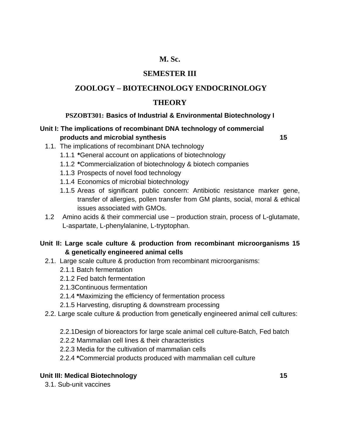## **M. Sc.**

## **SEMESTER III**

## **ZOOLOGY – BIOTECHNOLOGY ENDOCRINOLOGY**

## **THEORY**

## **PSZOBT301: Basics of Industrial & Environmental Biotechnology I**

## **Unit I: The implications of recombinant DNA technology of commercial products and microbial synthesis 15**

- 1.1. The implications of recombinant DNA technology
	- 1.1.1 **\***General account on applications of biotechnology
	- 1.1.2 **\***Commercialization of biotechnology & biotech companies
	- 1.1.3 Prospects of novel food technology
	- 1.1.4 Economics of microbial biotechnology
	- 1.1.5 Areas of significant public concern: Antibiotic resistance marker gene, transfer of allergies, pollen transfer from GM plants, social, moral & ethical issues associated with GMOs.
- 1.2 Amino acids & their commercial use production strain, process of L-glutamate, L-aspartate, L-phenylalanine, L-tryptophan.

## **Unit II: Large scale culture & production from recombinant microorganisms 15 & genetically engineered animal cells**

- 2.1. Large scale culture & production from recombinant microorganisms:
	- 2.1.1 Batch fermentation
	- 2.1.2 Fed batch fermentation
	- 2.1.3Continuous fermentation
	- 2.1.4 **\***Maximizing the efficiency of fermentation process
	- 2.1.5 Harvesting, disrupting & downstream processing
- 2.2. Large scale culture & production from genetically engineered animal cell cultures:
	- 2.2.1Design of bioreactors for large scale animal cell culture-Batch, Fed batch
	- 2.2.2 Mammalian cell lines & their characteristics
	- 2.2.3 Media for the cultivation of mammalian cells
	- 2.2.4 **\***Commercial products produced with mammalian cell culture

## **Unit III: Medical Biotechnology 15 and 15 and 16 and 16 and 16 and 16 and 16 and 16 and 16 and 16 and 16 and 16 and 16 and 16 and 16 and 16 and 16 and 16 and 16 and 16 and 16 and 16 and 16 and 16 and 16 and 16 and 16 and**

3.1. Sub-unit vaccines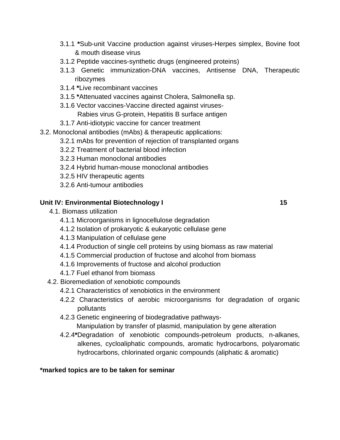- 3.1.1 **\***Sub-unit Vaccine production against viruses-Herpes simplex, Bovine foot & mouth disease virus
- 3.1.2 Peptide vaccines-synthetic drugs (engineered proteins)
- 3.1.3 Genetic immunization-DNA vaccines, Antisense DNA, Therapeutic ribozymes
- 3.1.4 **\***Live recombinant vaccines
- 3.1.5 **\***Attenuated vaccines against Cholera, Salmonella sp.
- 3.1.6 Vector vaccines-Vaccine directed against viruses-Rabies virus G-protein, Hepatitis B surface antigen
- 3.1.7 Anti-idiotypic vaccine for cancer treatment
- 3.2. Monoclonal antibodies (mAbs) & therapeutic applications:
	- 3.2.1 mAbs for prevention of rejection of transplanted organs
	- 3.2.2 Treatment of bacterial blood infection
	- 3.2.3 Human monoclonal antibodies
	- 3.2.4 Hybrid human-mouse monoclonal antibodies
	- 3.2.5 HIV therapeutic agents
	- 3.2.6 Anti-tumour antibodies

## **Unit IV: Environmental Biotechnology I 15 and 15 and 15 and 15 and 15 and 15 and 15 and 15 and 15 and 15 and 15 and 16 and 16 and 16 and 16 and 16 and 16 and 16 and 16 and 16 and 16 and 16 and 16 and 16 and 16 and 16 and**

- 4.1. Biomass utilization
	- 4.1.1 Microorganisms in lignocellulose degradation
	- 4.1.2 Isolation of prokaryotic & eukaryotic cellulase gene
	- 4.1.3 Manipulation of cellulase gene
	- 4.1.4 Production of single cell proteins by using biomass as raw material
	- 4.1.5 Commercial production of fructose and alcohol from biomass
	- 4.1.6 Improvements of fructose and alcohol production
	- 4.1.7 Fuel ethanol from biomass
- 4.2. Bioremediation of xenobiotic compounds
	- 4.2.1 Characteristics of xenobiotics in the environment
	- 4.2.2 Characteristics of aerobic microorganisms for degradation of organic pollutants
	- 4.2.3 Genetic engineering of biodegradative pathways-
		- Manipulation by transfer of plasmid, manipulation by gene alteration
	- 4.2.4**\***Degradation of xenobiotic compounds-petroleum products, n-alkanes, alkenes, cycloaliphatic compounds, aromatic hydrocarbons, polyaromatic hydrocarbons, chlorinated organic compounds (aliphatic & aromatic)

## **\*marked topics are to be taken for seminar**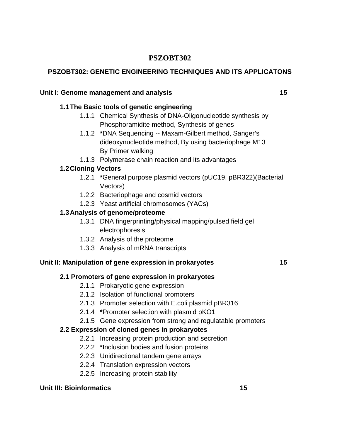## **PSZOBT302**

## **PSZOBT302: GENETIC ENGINEERING TECHNIQUES AND ITS APPLICATONS**

## Unit I: Genome management and analysis **15 15**

## **1.1 The Basic tools of genetic engineering**

- 1.1.1 Chemical Synthesis of DNA-Oligonucleotide synthesis by Phosphoramidite method, Synthesis of genes
- 1.1.2 **\***DNA Sequencing -- Maxam-Gilbert method, Sanger's dideoxynucleotide method, By using bacteriophage M13 By Primer walking
- 1.1.3 Polymerase chain reaction and its advantages

## **1.2 Cloning Vectors**

- 1.2.1 **\***General purpose plasmid vectors (pUC19, pBR322)(Bacterial Vectors)
- 1.2.2 Bacteriophage and cosmid vectors
- 1.2.3 Yeast artificial chromosomes (YACs)

## **1.3 Analysis of genome/proteome**

- 1.3.1 DNA fingerprinting/physical mapping/pulsed field gel electrophoresis
- 1.3.2 Analysis of the proteome
- 1.3.3 Analysis of mRNA transcripts

## **Unit II: Manipulation of gene expression in prokaryotes 15**

## **2.1 Promoters of gene expression in prokaryotes**

- 2.1.1 Prokaryotic gene expression
- 2.1.2 Isolation of functional promoters
- 2.1.3 Promoter selection with E.coli plasmid pBR316
- 2.1.4 **\***Promoter selection with plasmid pKO1
- 2.1.5 Gene expression from strong and regulatable promoters

## **2.2 Expression of cloned genes in prokaryotes**

- 2.2.1 Increasing protein production and secretion
- 2.2.2 **\***Inclusion bodies and fusion proteins
- 2.2.3 Unidirectional tandem gene arrays
- 2.2.4 Translation expression vectors
- 2.2.5 Increasing protein stability

## **Unit III: Bioinformatics 15 and 15 and 16 and 16 and 16 and 16 and 16 and 16 and 16 and 16 and 16 and 16 and 16 and 16 and 16 and 16 and 16 and 16 and 16 and 16 and 16 and 16 and 16 and 16 and 16 and 16 and 16 and 16 and**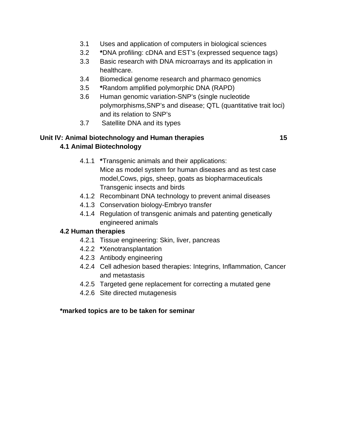- 3.1 Uses and application of computers in biological sciences
- 3.2 **\***DNA profiling: cDNA and EST's (expressed sequence tags)
- 3.3 Basic research with DNA microarrays and its application in healthcare.
- 3.4 Biomedical genome research and pharmaco genomics
- 3.5 **\***Random amplified polymorphic DNA (RAPD)
- 3.6 Human genomic variation-SNP's (single nucleotide polymorphisms,SNP's and disease; QTL (quantitative trait loci) and its relation to SNP's
- 3.7 Satellite DNA and its types

# **Unit IV: Animal biotechnology and Human therapies 15**

## **4.1 Animal Biotechnology**

- 4.1.1 **\***Transgenic animals and their applications: Mice as model system for human diseases and as test case model,Cows, pigs, sheep, goats as biopharmaceuticals Transgenic insects and birds
- 4.1.2 Recombinant DNA technology to prevent animal diseases
- 4.1.3 Conservation biology-Embryo transfer
- 4.1.4 Regulation of transgenic animals and patenting genetically engineered animals

## **4.2 Human therapies**

- 4.2.1 Tissue engineering: Skin, liver, pancreas
- 4.2.2 **\***Xenotransplantation
- 4.2.3 Antibody engineering
- 4.2.4 Cell adhesion based therapies: Integrins, Inflammation, Cancer and metastasis
- 4.2.5 Targeted gene replacement for correcting a mutated gene
- 4.2.6 Site directed mutagenesis

## **\*marked topics are to be taken for seminar**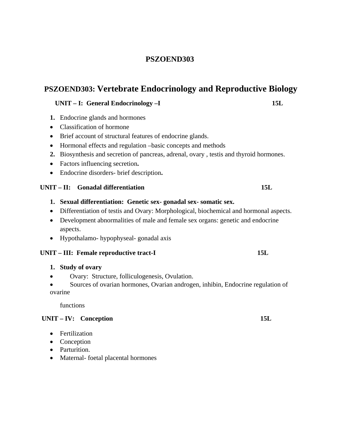## **PSZOEND303**

## **PSZOEND303: Vertebrate Endocrinology and Reproductive Biology**

#### **UNIT – I: General Endocrinology –I 15L**

- **1.** Endocrine glands and hormones
- Classification of hormone
- Brief account of structural features of endocrine glands.
- Hormonal effects and regulation –basic concepts and methods
- **2.** Biosynthesis and secretion of pancreas, adrenal, ovary , testis and thyroid hormones.
- Factors influencing secretion**.**
- Endocrine disorders- brief description**.**

#### **UNIT – II: Gonadal differentiation 15L**

- **1. Sexual differentiation: Genetic sex- gonadal sex- somatic sex.**
- Differentiation of testis and Ovary: Morphological, biochemical and hormonal aspects.
- Development abnormalities of male and female sex organs: genetic and endocrine aspects.
- Hypothalamo- hypophyseal- gonadal axis

#### UNIT – III: Female reproductive tract-I 15L

- **1. Study of ovary**
- Ovary: Structure, folliculogenesis, Ovulation.
- Sources of ovarian hormones, Ovarian androgen, inhibin, Endocrine regulation of ovarine

functions

#### **UNIT – IV: Conception 15L**

- Fertilization
- Conception
- Parturition.
- Maternal- foetal placental hormones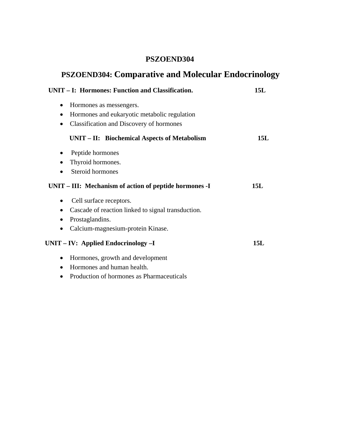## **PSZOEND304**

# **PSZOEND304: Comparative and Molecular Endocrinology**

| UNIT – I: Hormones: Function and Classification.                | 15L |
|-----------------------------------------------------------------|-----|
| Hormones as messengers.<br>$\bullet$                            |     |
| Hormones and eukaryotic metabolic regulation<br>$\bullet$       |     |
| <b>Classification and Discovery of hormones</b><br>$\bullet$    |     |
| UNIT – II: Biochemical Aspects of Metabolism                    | 15L |
| Peptide hormones<br>$\bullet$                                   |     |
| Thyroid hormones.                                               |     |
| Steroid hormones                                                |     |
| UNIT - III: Mechanism of action of peptide hormones -I          | 15L |
| Cell surface receptors.                                         |     |
| Cascade of reaction linked to signal transduction.<br>$\bullet$ |     |
| Prostaglandins.                                                 |     |
| Calcium-magnesium-protein Kinase.                               |     |
| $UNIT - IV:$ Applied Endocrinology $-I$                         | 15L |
| Hormones, growth and development<br>$\bullet$                   |     |
| Hormones and human health.                                      |     |
| Production of hormones as Pharmaceuticals                       |     |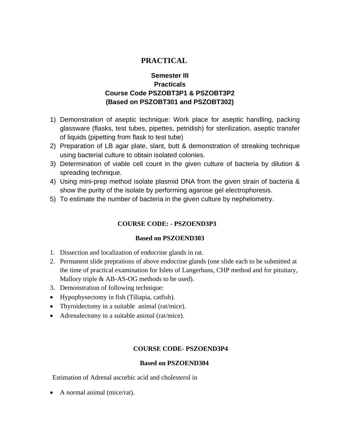## **PRACTICAL**

## **Semester III Practicals Course Code PSZOBT3P1 & PSZOBT3P2 (Based on PSZOBT301 and PSZOBT302)**

- 1) Demonstration of aseptic technique: Work place for aseptic handling, packing glassware (flasks, test tubes, pipettes, petridish) for sterilization, aseptic transfer of liquids (pipetting from flask to test tube)
- 2) Preparation of LB agar plate, slant, butt & demonstration of streaking technique using bacterial culture to obtain isolated colonies.
- 3) Determination of viable cell count in the given culture of bacteria by dilution & spreading technique.
- 4) Using mini-prep method isolate plasmid DNA from the given strain of bacteria & show the purity of the isolate by performing agarose gel electrophoresis.
- 5) To estimate the number of bacteria in the given culture by nephelometry.

#### **COURSE CODE: - PSZOEND3P3**

#### **Based on PSZOEND303**

- 1. Dissection and localization of endocrine glands in rat.
- 2. Permanent slide preprations of above endocrine glands (one slide each to be submitted at the time of practical examination for Islets of Langerhans, CHP method and for pituitary, Mallory triple & AB-AS-OG methods to be used).
- 3. Demonstration of following technique:
- Hypophysectomy in fish (Tiliapia, catfish).
- Thyroidectomy in a suitable animal (rat/mice).
- Adrenalectomy in a suitable animal (rat/mice).

#### **COURSE CODE- PSZOEND3P4**

#### **Based on PSZOEND304**

Estimation of Adrenal ascorbic acid and cholesterol in

• A normal animal (mice/rat).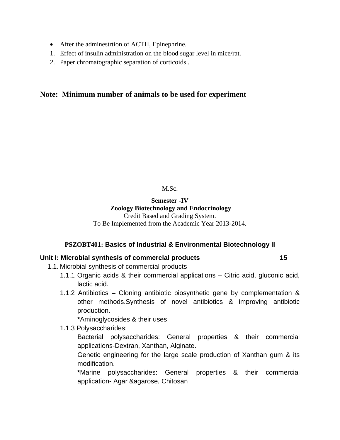- After the adminestrtion of ACTH, Epinephrine.
- 1. Effect of insulin administration on the blood sugar level in mice/rat.
- 2. Paper chromatographic separation of corticoids .

#### **Note: Minimum number of animals to be used for experiment**

M.Sc.

#### **Semester -IV Zoology Biotechnology and Endocrinology**

Credit Based and Grading System. To Be Implemented from the Academic Year 2013-2014.

#### **PSZOBT401: Basics of Industrial & Environmental Biotechnology II**

#### **Unit I: Microbial synthesis of commercial products 15**

- 1.1. Microbial synthesis of commercial products
	- 1.1.1 Organic acids & their commercial applications Citric acid, gluconic acid, lactic acid.
	- 1.1.2 Antibiotics Cloning antibiotic biosynthetic gene by complementation & other methods.Synthesis of novel antibiotics & improving antibiotic production.

**\***Aminoglycosides & their uses

1.1.3 Polysaccharides:

 Bacterial polysaccharides: General properties & their commercial applications-Dextran, Xanthan, Alginate.

 Genetic engineering for the large scale production of Xanthan gum & its modification.

**\***Marine polysaccharides: General properties & their commercial application- Agar &agarose, Chitosan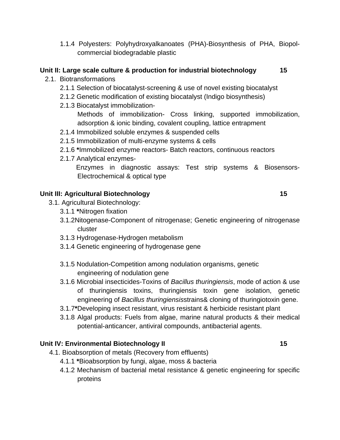1.1.4 Polyesters: Polyhydroxyalkanoates (PHA)-Biosynthesis of PHA, Biopolcommercial biodegradable plastic

## **Unit II: Large scale culture & production for industrial biotechnology 15**

- 2.1. Biotransformations
	- 2.1.1 Selection of biocatalyst-screening & use of novel existing biocatalyst
	- 2.1.2 Genetic modification of existing biocatalyst (Indigo biosynthesis)
	- 2.1.3 Biocatalyst immobilization-

 Methods of immobilization- Cross linking, supported immobilization, adsorption & ionic binding, covalent coupling, lattice entrapment

- 2.1.4 Immobilized soluble enzymes & suspended cells
- 2.1.5 Immobilization of multi-enzyme systems & cells
- 2.1.6 **\***Immobilized enzyme reactors- Batch reactors, continuous reactors
- 2.1.7 Analytical enzymes-

 Enzymes in diagnostic assays: Test strip systems & Biosensors-Electrochemical & optical type

## **Unit III: Agricultural Biotechnology 15 and 15 and 16 and 16 and 16 and 16 and 16 and 16 and 16 and 16 and 16 and 16 and 16 and 16 and 16 and 16 and 16 and 16 and 16 and 16 and 16 and 16 and 16 and 16 and 16 and 16 and 16**

- 3.1. Agricultural Biotechnology:
	- 3.1.1 **\***Nitrogen fixation
	- 3.1.2Nitogenase-Component of nitrogenase; Genetic engineering of nitrogenase cluster
	- 3.1.3 Hydrogenase-Hydrogen metabolism
	- 3.1.4 Genetic engineering of hydrogenase gene
	- 3.1.5 Nodulation-Competition among nodulation organisms, genetic engineering of nodulation gene
	- 3.1.6 Microbial insecticides-Toxins of *Bacillus thuringiensis*, mode of action & use of thuringiensis toxins, thuringiensis toxin gene isolation, genetic engineering of *Bacillus thuringiensis*strains& cloning of thuringiotoxin gene.
	- 3.1.7**\***Developing insect resistant, virus resistant & herbicide resistant plant
	- 3.1.8 Algal products: Fuels from algae, marine natural products & their medical potential-anticancer, antiviral compounds, antibacterial agents.

## **Unit IV: Environmental Biotechnology II** 15

- 4.1. Bioabsorption of metals (Recovery from effluents)
	- 4.1.1 **\***Bioabsorption by fungi, algae, moss & bacteria
	- 4.1.2 Mechanism of bacterial metal resistance & genetic engineering for specific proteins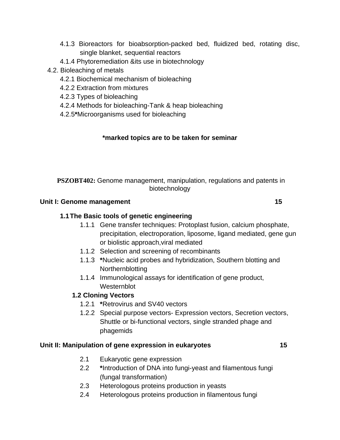- 4.1.3 Bioreactors for bioabsorption-packed bed, fluidized bed, rotating disc, single blanket, sequential reactors
- 4.1.4 Phytoremediation &its use in biotechnology
- 4.2. Bioleaching of metals
	- 4.2.1 Biochemical mechanism of bioleaching
	- 4.2.2 Extraction from mixtures
	- 4.2.3 Types of bioleaching
	- 4.2.4 Methods for bioleaching-Tank & heap bioleaching
	- 4.2.5**\***Microorganisms used for bioleaching

## **\*marked topics are to be taken for seminar**

**PSZOBT402:** Genome management, manipulation, regulations and patents in biotechnology

#### Unit I: Genome management 15

## **1.1 The Basic tools of genetic engineering**

- 1.1.1 Gene transfer techniques: Protoplast fusion, calcium phosphate, precipitation, electroporation, liposome, ligand mediated, gene gun or biolistic approach,viral mediated
- 1.1.2 Selection and screening of recombinants
- 1.1.3 **\***Nucleic acid probes and hybridization, Southern blotting and **Northernblotting**
- 1.1.4 Immunological assays for identification of gene product, Westernblot

## **1.2 Cloning Vectors**

- 1.2.1 **\***Retrovirus and SV40 vectors
- 1.2.2 Special purpose vectors- Expression vectors, Secretion vectors, Shuttle or bi-functional vectors, single stranded phage and phagemids

#### **Unit II: Manipulation of gene expression in eukaryotes 15**

- 2.1 Eukaryotic gene expression
- 2.2 **\***Introduction of DNA into fungi-yeast and filamentous fungi (fungal transformation)
- 2.3 Heterologous proteins production in yeasts
- 2.4 Heterologous proteins production in filamentous fungi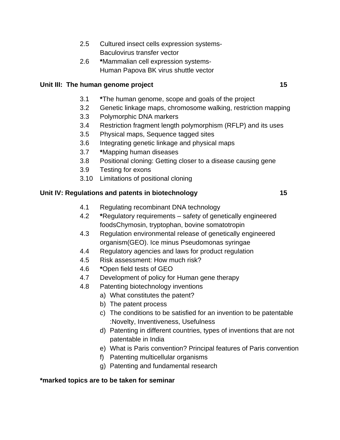- 2.5 Cultured insect cells expression systems-Baculovirus transfer vector
- 2.6 **\***Mammalian cell expression systems- Human Papova BK virus shuttle vector

#### Unit III: The human genome project **15**

- 3.1 **\***The human genome, scope and goals of the project
- 3.2 Genetic linkage maps, chromosome walking, restriction mapping
- 3.3 Polymorphic DNA markers
- 3.4 Restriction fragment length polymorphism (RFLP) and its uses
- 3.5 Physical maps, Sequence tagged sites
- 3.6 Integrating genetic linkage and physical maps
- 3.7 **\***Mapping human diseases
- 3.8 Positional cloning: Getting closer to a disease causing gene
- 3.9 Testing for exons
- 3.10 Limitations of positional cloning

#### **Unit IV: Regulations and patents in biotechnology 15**

- 4.1 Regulating recombinant DNA technology
- 4.2 **\***Regulatory requirements safety of genetically engineered foodsChymosin, tryptophan, bovine somatotropin
- 4.3 Regulation environmental release of genetically engineered organism(GEO). Ice minus Pseudomonas syringae
- 4.4 Regulatory agencies and laws for product regulation
- 4.5 Risk assessment: How much risk?
- 4.6 **\***Open field tests of GEO
- 4.7 Development of policy for Human gene therapy
- 4.8 Patenting biotechnology inventions
	- a) What constitutes the patent?
	- b) The patent process
	- c) The conditions to be satisfied for an invention to be patentable :Novelty, Inventiveness, Usefulness
	- d) Patenting in different countries, types of inventions that are not patentable in India
	- e) What is Paris convention? Principal features of Paris convention
	- f) Patenting multicellular organisms
	- g) Patenting and fundamental research

#### **\*marked topics are to be taken for seminar**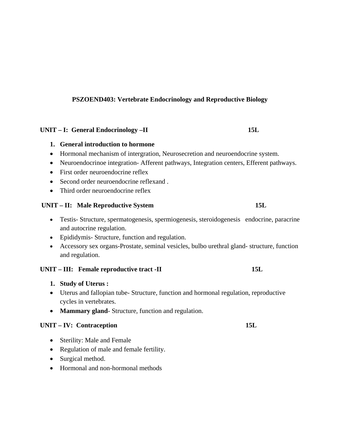#### **PSZOEND403: Vertebrate Endocrinology and Reproductive Biology**

#### **UNIT – I: General Endocrinology –II 15L**

#### **1. General introduction to hormone**

- Hormonal mechanism of intergration, Neurosecretion and neuroendocrine system.
- Neuroendocrinoe integration- Afferent pathways, Integration centers, Efferent pathways.
- First order neuroendocrine reflex
- Second order neuroendocrine reflexand.
- Third order neuroendocrine reflex

#### **UNIT – II: Male Reproductive System 15L**

- Testis- Structure, spermatogenesis, spermiogenesis, steroidogenesis endocrine, paracrine and autocrine regulation.
- Epididymis- Structure, function and regulation.
- Accessory sex organs-Prostate, seminal vesicles, bulbo urethral gland- structure, function and regulation.

#### **UNIT – III:** Female reproductive tract -II 15L

- **1. Study of Uterus :**
- Uterus and fallopian tube- Structure, function and hormonal regulation, reproductive cycles in vertebrates.
- **Mammary gland** Structure, function and regulation.

#### UNIT – IV: Contraception 15L

- Sterility: Male and Female
- Regulation of male and female fertility.
- Surgical method.
- Hormonal and non-hormonal methods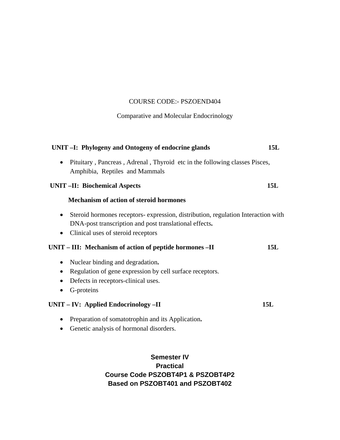#### COURSE CODE:- PSZOEND404

Comparative and Molecular Endocrinology

| UNIT -I: Phylogeny and Ontogeny of endocrine glands                                                                                                                                                        | 15L |
|------------------------------------------------------------------------------------------------------------------------------------------------------------------------------------------------------------|-----|
| Pituitary, Pancreas, Adrenal, Thyroid etc in the following classes Pisces,<br>$\bullet$<br>Amphibia, Reptiles and Mammals                                                                                  |     |
| <b>UNIT-II: Biochemical Aspects</b>                                                                                                                                                                        | 15L |
| <b>Mechanism of action of steroid hormones</b>                                                                                                                                                             |     |
| Steroid hormones receptors-expression, distribution, regulation Interaction with<br>$\bullet$<br>DNA-post transcription and post translational effects.<br>Clinical uses of steroid receptors<br>$\bullet$ |     |
| UNIT - III: Mechanism of action of peptide hormones - II                                                                                                                                                   | 15L |
| Nuclear binding and degradation.<br>$\bullet$<br>Regulation of gene expression by cell surface receptors.<br>$\bullet$<br>Defects in receptors-clinical uses.<br>$\bullet$<br>G-proteins<br>$\bullet$      |     |
| UNIT – IV: Applied Endocrinology – II                                                                                                                                                                      | 15L |
| Preparation of somatotrophin and its Application.<br>$\bullet$<br>Genetic analysis of hormonal disorders.<br>$\bullet$                                                                                     |     |

## **Semester IV Practical Course Code PSZOBT4P1 & PSZOBT4P2 Based on PSZOBT401 and PSZOBT402**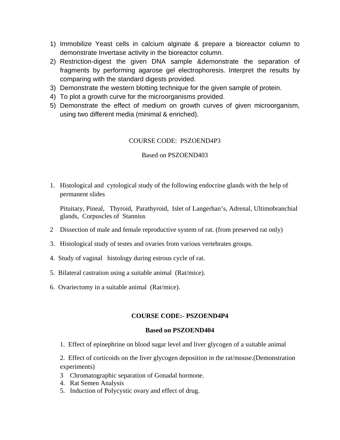- 1) Immobilize Yeast cells in calcium alginate & prepare a bioreactor column to demonstrate Invertase activity in the bioreactor column.
- 2) Restriction-digest the given DNA sample &demonstrate the separation of fragments by performing agarose gel electrophoresis. Interpret the results by comparing with the standard digests provided.
- 3) Demonstrate the western blotting technique for the given sample of protein.
- 4) To plot a growth curve for the microorganisms provided.
- 5) Demonstrate the effect of medium on growth curves of given microorganism, using two different media (minimal & enriched).

#### COURSE CODE: PSZOEND4P3

#### Based on PSZOEND403

1. Histological and cytological study of the following endocrine glands with the help of permanent slides

 Pituitary, Pineal, Thyroid, Parathyroid, Islet of Langerhan's, Adrenal, Ultimobranchial glands, Corpuscles of Stannius

- 2 Dissection of male and female reproductive system of rat. (from preserved rat only)
- 3. Histological study of testes and ovaries from various vertebrates groups.
- 4. Study of vaginal histology during estrous cycle of rat.
- 5. Bilateral castration using a suitable animal (Rat/mice).
- 6. Ovariectomy in a suitable animal (Rat/mice).

#### **COURSE CODE:- PSZOEND4P4**

#### **Based on PSZOEND404**

1. Effect of epinephrine on blood sugar level and liver glycogen of a suitable animal

2. Effect of corticoids on the liver glycogen deposition in the rat/mouse.(Demonstration experiments)

- 3 Chromatographic separation of Gonadal hormone.
- 4. Rat Semen Analysis
- 5. Induction of Polycystic ovary and effect of drug.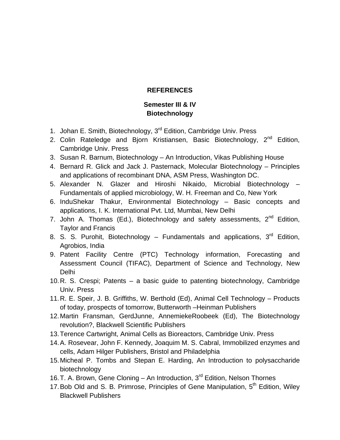#### **REFERENCES**

## **Semester III & IV Biotechnology**

- 1. Johan E. Smith, Biotechnology, 3<sup>rd</sup> Edition, Cambridge Univ. Press
- 2. Colin Rateledge and Bjorn Kristiansen, Basic Biotechnology, 2<sup>nd</sup> Edition, Cambridge Univ. Press
- 3. Susan R. Barnum, Biotechnology An Introduction, Vikas Publishing House
- 4. Bernard R. Glick and Jack J. Pasternack, Molecular Biotechnology Principles and applications of recombinant DNA, ASM Press, Washington DC.
- 5. Alexander N. Glazer and Hiroshi Nikaido, Microbial Biotechnology Fundamentals of applied microbiology, W. H. Freeman and Co, New York
- 6. InduShekar Thakur, Environmental Biotechnology Basic concepts and applications, I. K. International Pvt. Ltd, Mumbai, New Delhi
- 7. John A. Thomas (Ed.), Biotechnology and safety assessments,  $2^{nd}$  Edition, Taylor and Francis
- 8. S. S. Purohit, Biotechnology Fundamentals and applications,  $3<sup>rd</sup>$  Edition, Agrobios, India
- 9. Patent Facility Centre (PTC) Technology information, Forecasting and Assessment Council (TIFAC), Department of Science and Technology, New Delhi
- 10. R. S. Crespi; Patents a basic guide to patenting biotechnology, Cambridge Univ. Press
- 11. R. E. Speir, J. B. Griffiths, W. Berthold (Ed), Animal Cell Technology Products of today, prospects of tomorrow, Butterworth –Heinman Publishers
- 12. Martin Fransman, GerdJunne, AnnemiekeRoobeek (Ed), The Biotechnology revolution?, Blackwell Scientific Publishers
- 13. Terence Cartwright, Animal Cells as Bioreactors, Cambridge Univ. Press
- 14. A. Rosevear, John F. Kennedy, Joaquim M. S. Cabral, Immobilized enzymes and cells, Adam Hilger Publishers, Bristol and Philadelphia
- 15. Micheal P. Tombs and Stepan E. Harding, An Introduction to polysaccharide biotechnology
- 16. T. A. Brown, Gene Cloning An Introduction, 3<sup>rd</sup> Edition, Nelson Thornes
- 17. Bob Old and S. B. Primrose, Principles of Gene Manipulation, 5<sup>th</sup> Edition, Wiley Blackwell Publishers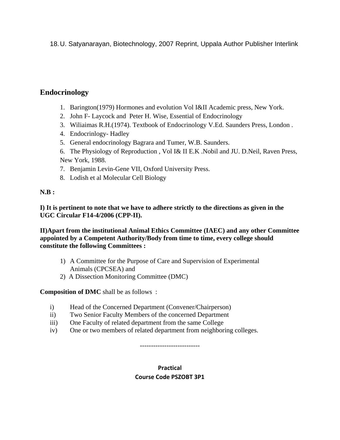18. U. Satyanarayan, Biotechnology, 2007 Reprint, Uppala Author Publisher Interlink

## **Endocrinology**

- 1. Barington(1979) Hormones and evolution Vol I&II Academic press, New York.
- 2. John F- Laycock and Peter H. Wise, Essential of Endocrinology
- 3. Wiliaimas R.H.(1974). Textbook of Endocrinology V.Ed. Saunders Press, London .
- 4. Endocrinlogy- Hadley
- 5. General endocrinology Bagrara and Tumer, W.B. Saunders.
- 6. The Physiology of Reproduction , Vol I& II E.K .Nobil and JU. D.Neil, Raven Press, New York, 1988.
- 7. Benjamin Levin-Gene VII, Oxford University Press.
- 8. Lodish et al Molecular Cell Biology

#### **N.B :**

**I) It is pertinent to note that we have to adhere strictly to the directions as given in the UGC Circular F14-4/2006 (CPP-II).** 

**II)Apart from the institutional Animal Ethics Committee (IAEC) and any other Committee appointed by a Competent Authority/Body from time to time, every college should constitute the following Committees :** 

- 1) A Committee for the Purpose of Care and Supervision of Experimental Animals (CPCSEA) and
- 2) A Dissection Monitoring Committee (DMC)

**Composition of DMC** shall be as follows :

- i) Head of the Concerned Department (Convener/Chairperson)
- ii) Two Senior Faculty Members of the concerned Department
- iii) One Faculty of related department from the same College
- iv) One or two members of related department from neighboring colleges.

---------------------------

## **Practical Course Code PSZOBT 3P1**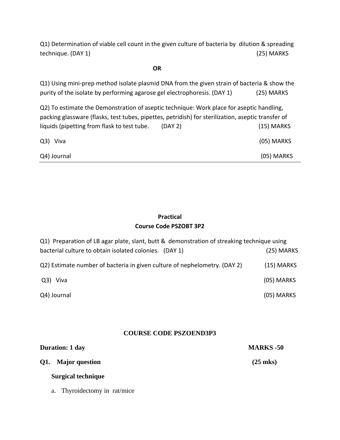Q1) Determination of viable cell count in the given culture of bacteria by dilution & spreading technique. (DAY 1) (25) MARKS

#### $\overline{OR}$

| Q1) Using mini-prep method isolate plasmid DNA from the given strain of bacteria & show the        |         |              |
|----------------------------------------------------------------------------------------------------|---------|--------------|
| purity of the isolate by performing agarose gel electrophoresis. (DAY 1)                           |         | (25) MARKS   |
| Q2) To estimate the Demonstration of aseptic technique: Work place for aseptic handling,           |         |              |
| packing glassware (flasks, test tubes, pipettes, petridish) for sterilization, aseptic transfer of |         |              |
| liquids (pipetting from flask to test tube.                                                        | (DAY 2) | $(15)$ MARKS |
| Q3) Viva                                                                                           |         | (05) MARKS   |
| Q4) Journal                                                                                        |         | (05) MARKS   |

## **Practical Course Code PSZOBT 3P2**

| Q1) Preparation of LB agar plate, slant, butt & demonstration of streaking technique using |              |
|--------------------------------------------------------------------------------------------|--------------|
| bacterial culture to obtain isolated colonies. (DAY 1)                                     | (25) MARKS   |
| Q2) Estimate number of bacteria in given culture of nephelometry. (DAY 2)                  | $(15)$ MARKS |
| Q3) Viva                                                                                   | $(05)$ MARKS |
| Q4) Journal                                                                                | (05) MARKS   |

## **COURSE CODE PSZOEND3P3**

| <b>Duration: 1 day</b> | <b>MARKS -50</b>   |
|------------------------|--------------------|
| Q1. Major question     | $(25 \text{ mks})$ |
| Surgical technique     |                    |

a. Thyroidectomy in rat/mice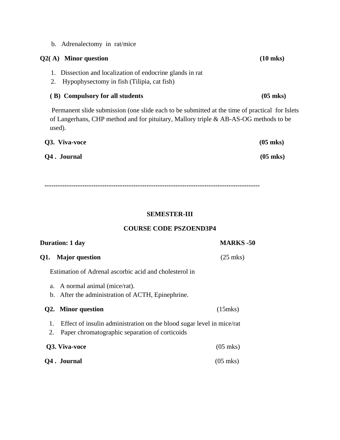b. Adrenalectomy in rat/mice

## **Q2( A) Minor question (10 mks)**

- 1. Dissection and localization of endocrine glands in rat
- 2. Hypophysectomy in fish (Tilipia, cat fish)

#### **( B) Compulsory for all students (05 mks)**

Permanent slide submission (one slide each to be submitted at the time of practical for Islets of Langerhans, CHP method and for pituitary, Mallory triple & AB-AS-OG methods to be used).

| Q3. Viva-voce | $(05 \text{ mks})$ |
|---------------|--------------------|
| Q4. Journal   | $(05 \text{ mks})$ |

**-------------------------------------------------------------------------------------------------** 

#### **SEMESTER-III**

#### **COURSE CODE PSZOEND3P4**

| <b>Duration: 1 day</b> |                                                                       | <b>MARKS</b> -50   |
|------------------------|-----------------------------------------------------------------------|--------------------|
| Q1.                    | <b>Major</b> question                                                 | $(25 \text{ mks})$ |
|                        | Estimation of Adrenal ascorbic acid and cholesterol in                |                    |
|                        | a. A normal animal (mice/rat).                                        |                    |
|                        | b. After the administration of ACTH, Epinephrine.                     |                    |
|                        | Q2. Minor question                                                    | $(15$ mks $)$      |
| 1.                     | Effect of insulin administration on the blood sugar level in mice/rat |                    |
| 2.                     | Paper chromatographic separation of corticoids                        |                    |
|                        | Q3. Viva-voce                                                         | $(05 \text{ mks})$ |
|                        | Q4. Journal                                                           | $(05 \text{ mks})$ |
|                        |                                                                       |                    |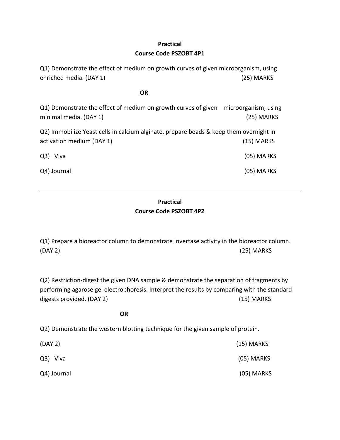## **Practical**

#### **Course Code PSZOBT 4P1**

Q1) Demonstrate the effect of medium on growth curves of given microorganism, using enriched media. (DAY 1) (25) MARKS

#### **OR**

Q1) Demonstrate the effect of medium on growth curves of given microorganism, using minimal media. (DAY 1) (25) MARKS

Q2) Immobilize Yeast cells in calcium alginate, prepare beads & keep them overnight in activation medium (DAY 1) (15) MARKS

Q3) Viva (05) MARKS

Q4) Journal (05) MARKS

## **Practical Course Code PSZOBT 4P2**

Q1) Prepare a bioreactor column to demonstrate Invertase activity in the bioreactor column. (DAY 2) (25) MARKS

Q2) Restriction‐digest the given DNA sample & demonstrate the separation of fragments by performing agarose gel electrophoresis. Interpret the results by comparing with the standard digests provided. (DAY 2) (15) MARKS

**OR** 

Q2) Demonstrate the western blotting technique for the given sample of protein.

| (DAY 2)     | $(15)$ MARKS |
|-------------|--------------|
| Q3) Viva    | (05) MARKS   |
| Q4) Journal | (05) MARKS   |